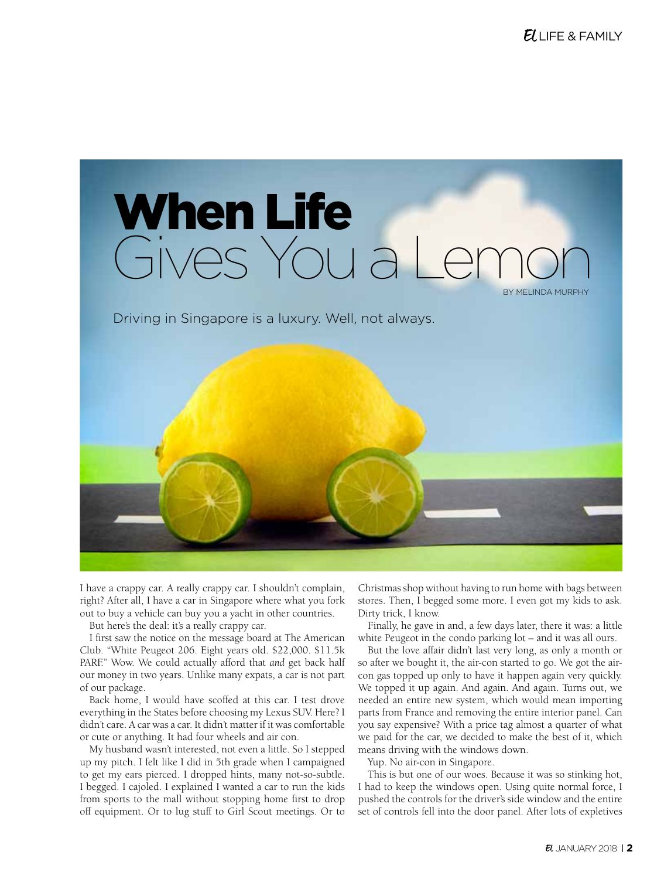

Driving in Singapore is a luxury. Well, not always.



I have a crappy car. A really crappy car. I shouldn't complain, right? After all, I have a car in Singapore where what you fork out to buy a vehicle can buy you a yacht in other countries.

But here's the deal: it's a really crappy car.

I first saw the notice on the message board at The American Club. "White Peugeot 206. Eight years old. \$22,000. \$11.5k PARF." Wow. We could actually afford that *and* get back half our money in two years. Unlike many expats, a car is not part of our package.

Back home, I would have scoffed at this car. I test drove everything in the States before choosing my Lexus SUV. Here? I didn't care. A car was a car. It didn't matter if it was comfortable or cute or anything. It had four wheels and air con.

My husband wasn't interested, not even a little. So I stepped up my pitch. I felt like I did in 5th grade when I campaigned to get my ears pierced. I dropped hints, many not-so-subtle. I begged. I cajoled. I explained I wanted a car to run the kids from sports to the mall without stopping home first to drop off equipment. Or to lug stuff to Girl Scout meetings. Or to Christmas shop without having to run home with bags between stores. Then, I begged some more. I even got my kids to ask. Dirty trick, I know.

Finally, he gave in and, a few days later, there it was: a little white Peugeot in the condo parking lot – and it was all ours.

But the love affair didn't last very long, as only a month or so after we bought it, the air-con started to go. We got the aircon gas topped up only to have it happen again very quickly. We topped it up again. And again. And again. Turns out, we needed an entire new system, which would mean importing parts from France and removing the entire interior panel. Can you say expensive? With a price tag almost a quarter of what we paid for the car, we decided to make the best of it, which means driving with the windows down.

Yup. No air-con in Singapore.

This is but one of our woes. Because it was so stinking hot, I had to keep the windows open. Using quite normal force, I pushed the controls for the driver's side window and the entire set of controls fell into the door panel. After lots of expletives